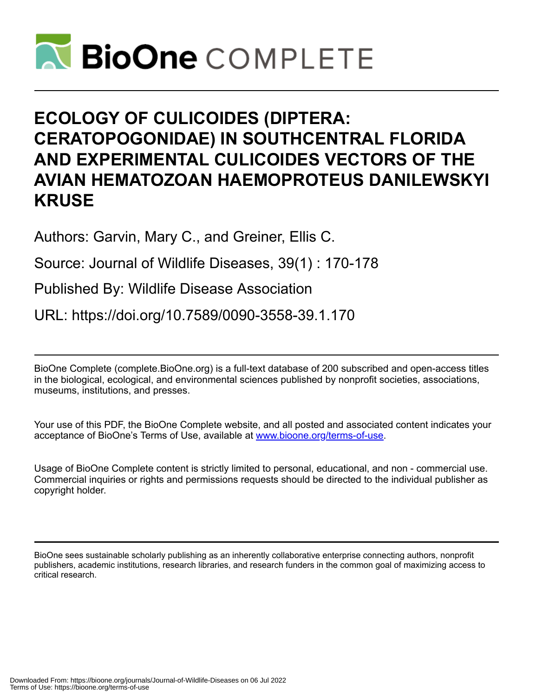

# **ECOLOGY OF CULICOIDES (DIPTERA: CERATOPOGONIDAE) IN SOUTHCENTRAL FLORIDA AND EXPERIMENTAL CULICOIDES VECTORS OF THE AVIAN HEMATOZOAN HAEMOPROTEUS DANILEWSKYI KRUSE**

Authors: Garvin, Mary C., and Greiner, Ellis C.

Source: Journal of Wildlife Diseases, 39(1) : 170-178

Published By: Wildlife Disease Association

URL: https://doi.org/10.7589/0090-3558-39.1.170

BioOne Complete (complete.BioOne.org) is a full-text database of 200 subscribed and open-access titles in the biological, ecological, and environmental sciences published by nonprofit societies, associations, museums, institutions, and presses.

Your use of this PDF, the BioOne Complete website, and all posted and associated content indicates your acceptance of BioOne's Terms of Use, available at www.bioone.org/terms-of-use.

Usage of BioOne Complete content is strictly limited to personal, educational, and non - commercial use. Commercial inquiries or rights and permissions requests should be directed to the individual publisher as copyright holder.

BioOne sees sustainable scholarly publishing as an inherently collaborative enterprise connecting authors, nonprofit publishers, academic institutions, research libraries, and research funders in the common goal of maximizing access to critical research.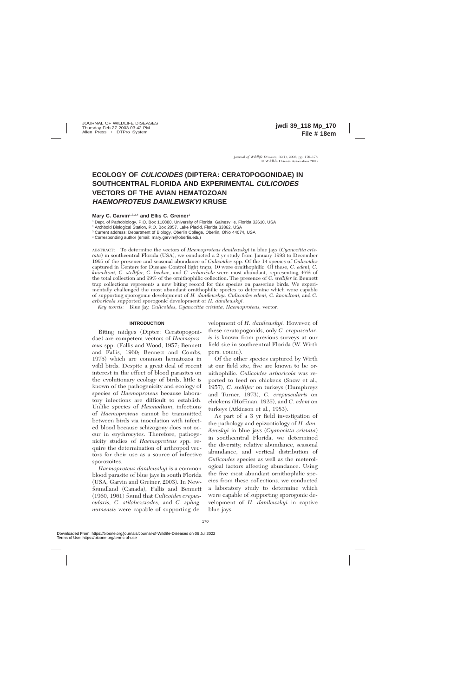# **ECOLOGY OF CULICOIDES (DIPTERA: CERATOPOGONIDAE) IN SOUTHCENTRAL FLORIDA AND EXPERIMENTAL CULICOIDES VECTORS OF THE AVIAN HEMATOZOAN HAEMOPROTEUS DANILEWSKYI KRUSE**

# **Mary C. Garvin**1,2,3,4 **and Ellis C. Greiner**<sup>1</sup>

<sup>1</sup> Dept. of Pathobiology, P.O. Box 110880, University of Florida, Gainesville, Florida 32610, USA

<sup>2</sup> Archbold Biological Station, P.O. Box 2057, Lake Placid, Florida 33862, USA

<sup>3</sup> Current address: Department of Biology, Oberlin College, Oberlin, Ohio 44074, USA

<sup>4</sup> Corresponding author (email: mary.garvin@oberlin.edu)

ABSTRACT: To determine the vectors of *Haemoproteus danilewskyi* in blue jays (*Cyanocitta cristata*) in southcentral Florida (USA), we conducted a 2 yr study from January 1993 to December 1995 of the presence and seasonal abundance of *Culicoides* spp. Of the 14 species of *Culicoides* captured in Centers for Disease Control light traps, 10 were ornithophilic. Of these, *C. edeni, C. knowltoni, C. stellifer, C. beckae,* and *C. arboricola* were most abundant, representing 46% of the total collection and 99% of the ornithophilic collection. The presence of *C. stellifer* in Bennett trap collections represents a new biting record for this species on passerine birds. We experimentally challenged the most abundant ornithophilic species to determine which were capable of supporting sporogonic development of *H. danilewskyi. Culicoides edeni, C. knowltoni,* and *C. arboricola* supported sporogonic development of *H. danilewskyi.*

*Key words:* Blue jay, *Culicoides, Cyanocitta cristata, Haemoproteus,* vector.

#### **INTRODUCTION**

Biting midges (Dipter: Ceratopogonidae) are competent vectors of *Haemoproteus* spp. (Fallis and Wood, 1957; Bennett and Fallis, 1960; Bennett and Combs, 1975) which are common hematozoa in wild birds. Despite a great deal of recent interest in the effect of blood parasites on the evolutionary ecology of birds, little is known of the pathogenicity and ecology of species of *Haemoproteus* because laboratory infections are difficult to establish. Unlike species of *Plasmodium,* infections of *Haemoproteus* cannot be transmitted between birds via inoculation with infected blood because schizogony does not occur in erythrocytes. Therefore, pathogenicity studies of *Haemoproteus* spp. require the determination of arthropod vectors for their use as a source of infective sporozoites.

*Haemoproteus danilewskyi* is a common blood parasite of blue jays in south Florida (USA; Garvin and Greiner, 2003). In Newfoundland (Canada), Fallis and Bennett (1960, 1961) found that *Culicoides crepuscularis, C. stilobezziodes,* and *C. sphagnumensis* were capable of supporting development of *H. danilewskyi.* However, of these ceratopogonids, only *C. crepuscularis* is known from previous surveys at our field site in southcentral Florida (W. Wirth pers. comm).

Of the other species captured by Wirth at our field site, five are known to be ornithophilic. *Culicoides arboricola* was reported to feed on chickens (Snow et al., 1957), *C. stellifer* on turkeys (Humphreys and Turner, 1973), *C. crepuscularis* on chickens (Hoffman, 1925), and *C. edeni* on turkeys (Atkinson et al., 1983).

As part of a 3 yr field investigation of the pathology and epizootiology of *H. danilewskyi* in blue jays (*Cyanocitta cristata*) in southcentral Florida, we determined the diversity, relative abundance, seasonal abundance, and vertical distribution of *Culicoides* species as well as the meterological factors affecting abundance. Using the five most abundant ornithophilic species from these collections, we conducted a laboratory study to determine which were capable of supporting sporogonic development of *H. danilewskyi* in captive blue jays.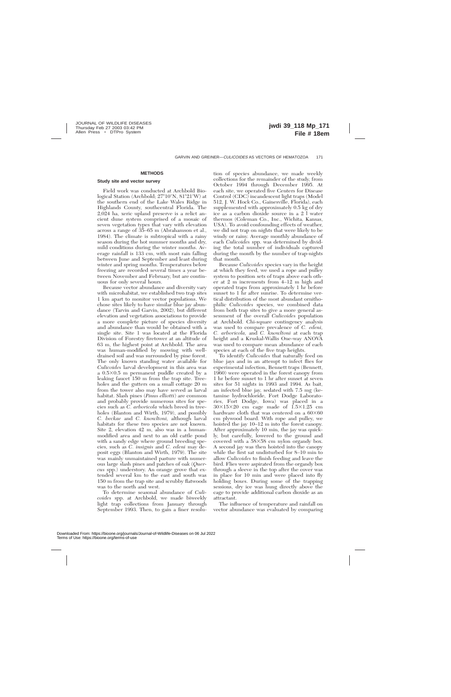#### **METHODS**

#### **Study site and vector survey**

Field work was conducted at Archbold Biological Station (Archbold;  $27^{\circ}10'$ N,  $81^{\circ}21'$ W) at the southern end of the Lake Wales Ridge in Highlands County, southcentral Florida. The 2,024 ha, xeric upland preserve is a relict ancient dune system comprised of a mosaic of seven vegetation types that vary with elevation across a range of 35–65 m (Abrahamson et al., 1984). The climate is subtropical with a rainy season during the hot summer months and dry, mild conditions during the winter months. Average rainfall is 133 cm, with most rain falling between June and September and least during winter and spring months. Temperatures below freezing are recorded several times a year between November and February, but are continuous for only several hours.

Because vector abundance and diversity vary with microhabitat, we established two trap sites 1 km apart to monitor vector populations. We chose sites likely to have similar blue jay abundance (Tarvin and Garvin, 2002), but different elevation and vegetation associations to provide a more complete picture of species diversity and abundance than would be obtained with a single site. Site 1 was located at the Florida Division of Forestry firetower at an altitude of 63 m, the highest point at Archbold. The area was human-modified by mowing with welldrained soil and was surrounded by pine forest. The only known standing water available for *Culicoides* larval development in this area was a  $0.5 \times 0.5$  m permanent puddle created by a leaking faucet 150 m from the trap site. Treeholes and the gutters on a small cottage 20 m from the tower also may have served as larval habitat. Slash pines (*Pinus elliotti*) are common and probably provide numerous sites for species such as *C. arboricola* which breed in treeholes (Blanton and Wirth, 1979), and possibly *C. beckae* and *C. knowltoni,* although larval habitats for these two species are not known. Site 2, elevation 42 m, also was in a humanmodified area and next to an old cattle pond with a sandy edge where ground breeding species, such as *C. insignis* and *C. edeni* may deposit eggs (Blanton and Wirth, 1979). The site was mainly unmaintained pasture with numerous large slash pines and patches of oak (*Quercus* spp.) understory. An orange grove that extended several km to the east and south was 150 m from the trap site and scrubby flatwoods was to the north and west.

To determine seasonal abundance of *Culicoides* spp. at Archbold, we made biweekly light trap collections from January through September 1993. Then, to gain a finer resolu-

tion of species abundance, we made weekly collections for the remainder of the study, from October 1994 through December 1995. At each site, we operated five Centers for Disease Control (CDC) incandescent light traps (Model 512, J. W. Hock Co., Gainesville, Florida), each supplemented with approximately 0.5 kg of dry ice as a carbon dioxide source in a 2 l water thermos (Coleman Co., Inc., Wichita, Kansas, USA). To avoid confounding effects of weather, we did not trap on nights that were likely to be windy or rainy. Average monthly abundance of each *Culicoides* spp. was determined by dividing the total number of individuals captured during the month by the number of trap-nights that month.

Because *Culicoides* species vary in the height at which they feed, we used a rope and pulley system to position sets of traps above each other at 2 m increments from 4–12 m high and operated traps from approximately 1 hr before sunset to 1 hr after sunrise. To determine vertical distribution of the most abundant ornithophilic *Culicoides* species, we combined data from both trap sites to give a more general assessment of the overall *Culicoides* population at Archbold. Chi-square contingency analysis was used to compare prevalence of *C. edeni, C. arboricola,* and *C. knowltoni* at each trap height and a Kruskal-Wallis One-way ANOVA was used to compare mean abundance of each species at each of the five trap heights.

To identify *Culicoides* that naturally feed on blue jays and in an attempt to infect flies for experimental infection, Bennett traps (Bennett, 1960) were operated in the forest canopy from 1 hr before sunset to 1 hr after sunset at seven sites for 51 nights in 1993 and 1994. As bait, an infected blue jay, sedated with 7.5 mg (ketamine hydrochloride, Fort Dodge Laboratories, Fort Dodge, Iowa) was placed in a  $30\times15\times20$  cm cage made of  $1.5\times1.25$  cm hardware cloth that was centered on a  $60\times60$ cm plywood board. With rope and pulley, we hoisted the jay 10–12 m into the forest canopy. After approximately 10 min, the jay was quickly, but carefully, lowered to the ground and covered with a  $58\times58$  cm nylon organdy box. A second jay was then hoisted into the canopy while the first sat undisturbed for 8–10 min to allow *Culicoides* to finish feeding and leave the bird. Flies were aspirated from the organdy box through a sleeve in the top after the cover was in place for 10 min and were placed into fly holding boxes. During some of the trapping sessions, dry ice was hung directly above the cage to provide additional carbon dioxide as an attractant.

The influence of temperature and rainfall on vector abundance was evaluated by comparing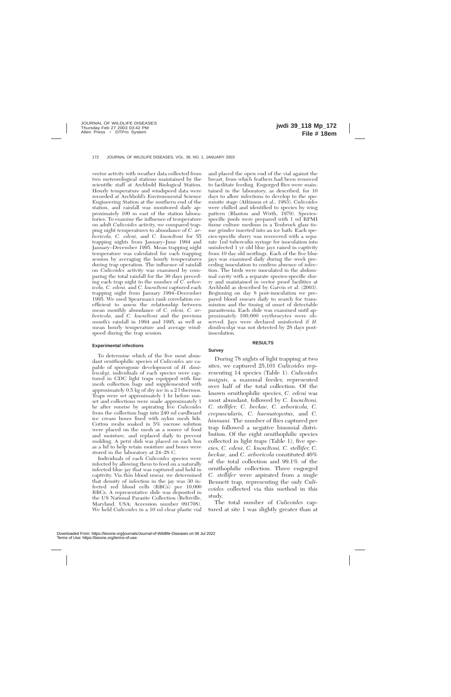vector activity with weather data collected from two meteorological stations maintained by the scientific staff at Archbold Biological Station. Hourly temperature and windspeed data were recorded at Archbold's Environmental Science Engineering Station at the southern end of the station, and rainfall was monitored daily approximately 100 m east of the station laboratories. To examine the influence of temperature on adult *Culicoides* activity, we compared trapping night temperatures to abundance of *C. arboricola, C. edeni,* and *C. knowltoni* for 55 trapping nights from January–June 1994 and January–December 1995. Mean trapping night temperature was calculated for each trapping session by averaging the hourly temperatures during trap operation. The influence of rainfall on *Culicoides* activity was examined by comparing the total rainfall for the 30 days preceding each trap night to the number of *C. arboricola, C. edeni,* and *C. knowltoni* captured each trapping night from January 1994–December 1995. We used Spearman's rank correlation coefficient to assess the relationship between mean monthly abundance of *C. edeni, C. arboricola,* and *C. knowltoni* and the previous month's rainfall in 1994 and 1995, as well as mean hourly temperature and average windspeed during the trap session.

#### **Experimental infections**

To determine which of the five most abundant ornithophilic species of *Culicoides* are capable of sporogonic development of *H. danilewskyi,* individuals of each species were captured in CDC light traps equipped with fine mesh collection bags and supplemented with approximately 0.5 kg of dry ice in a 2 l thermos. Traps were set approximately 1 hr before sunset and collections were made approximately 1 hr after sunrise by aspirating live *Culicoides* from the collection bags into 240 ml cardboard ice cream boxes fixed with nylon mesh lids. Cotton swabs soaked in 5% sucrose solution were placed on the mesh as a source of food and moisture, and replaced daily to prevent molding. A petri dish was placed on each box as a lid to help retain moisture and boxes were stored in the laboratory at 24–28 C.

Individuals of each *Culicoides* species were infected by allowing them to feed on a naturally infected blue jay that was captured and held in captivity. Via thin blood smear, we determined that density of infection in the jay was 30 infected red blood cells (RBCs) per 10,000 RBCs. A representative slide was deposited in the US National Parasite Collection (Beltsville, Maryland, USA; Accession number 091708). We held *Culicoides* in a 10 ml clear plastic vial and placed the open end of the vial against the breast, from which feathers had been removed to facilitate feeding. Engorged flies were maintained in the laboratory, as described, for 10 days to allow infections to develop to the sporozoite stage (Atkinson et al., 1983). *Culicoides* were chilled and identified to species by wing pattern (Blanton and Wirth, 1979). Speciesspecific pools were prepared with 1 ml RPMI tissue culture medium in a Tenbrock glass tissue grinder inserted into an ice bath. Each species-specific slurry was recovered with a separate 1ml tuberculin syringe for inoculation into uninfected 1 yr old blue jays raised in captivity from 10 day old nestlings. Each of the five blue jays was examined daily during the week preceding inoculation to confirm absence of infection. The birds were inoculated in the abdominal cavity with a separate species-specific slurry and maintained in vector proof facilities at Archbold as described by Garvin et al. (2003). Beginning on day 8 post-inoculation we prepared blood smears daily to search for transmission and the timing of onset of detectable parasitemia. Each slide was examined until approximately 100,000 erythrocytes were observed. Jays were declared uninfected if *H. danilewskyi* was not detected by 28 days postinoculation.

#### **RESULTS**

# **Survey**

During 78 nights of light trapping at two sites, we captured 25,101 *Culicoides* representing 14 species (Table 1). *Culicoides insignis,* a mammal feeder, represented over half of the total collection. Of the known ornithophilic species, *C. edeni* was most abundant, followed by *C. knowltoni, C. stellifer, C. beckae, C. arboricola, C. crepuscularis, C. haematopotus,* and *C. hinmani.* The number of flies captured per trap followed a negative binomial distribution. Of the eight ornithophilic species collected in light traps (Table 1), five species, *C. edeni, C. knowltoni, C. stellifer, C. beckae,* and *C. arboricola* constituted 46% of the total collection and 99.1% of the ornithophilic collection. Three engorged *C. stellifer* were aspirated from a single Bennett trap, representing the only *Culicoides* collected via this method in this study.

The total number of *Culicoides* captured at site 1 was slightly greater than at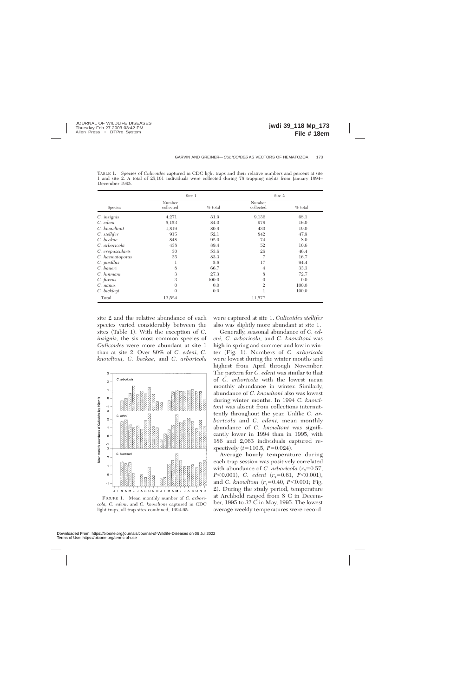| Species            | Site 1              |           | Site 2              |           |
|--------------------|---------------------|-----------|---------------------|-----------|
|                    | Number<br>collected | $%$ total | Number<br>collected | $%$ total |
| C. <i>insignis</i> | 4,271               | 31.9      | 9,136               | 68.1      |
| C. edeni           | 5,153               | 84.0      | 978                 | 16.0      |
| C. knowltoni       | 1,819               | 80.9      | 430                 | 19.0      |
| C. stellifer       | 915                 | 52.1      | 842                 | 47.9      |
| C. beckae          | 848                 | 92.0      | 74                  | 8.0       |
| C. arboricola      | 438                 | 89.4      | 52                  | 10.6      |
| C. crepuscularis   | 30                  | 53.6      | 26                  | 46.4      |
| C. haematopotus    | 35                  | 83.3      | 7                   | 16.7      |
| C. pusillus        | 1                   | 5.6       | 17                  | 94.4      |
| C. baueri          | 8                   | 66.7      | 4                   | 33.3      |
| C. hinmani         | 3                   | 27.3      | 8                   | 72.7      |
| C. furens          | 3                   | 100.0     | 0                   | 0.0       |
| $C.$ nanus         | $\overline{0}$      | 0.0       | $\mathfrak{2}$      | 100.0     |
| C. bickleyi        | $\Omega$            | 0.0       |                     | 100.0     |
| Total              | 13,524              |           | 11,577              |           |

TABLE 1. Species of *Culicoides* captured in CDC light traps and their relative numbers and percent at site 1 and site 2. A total of 25,101 individuals were collected during 78 trapping nights from January 1994– December 1995.

site 2 and the relative abundance of each species varied considerably between the sites (Table 1). With the exception of *C. insignis,* the six most common species of *Culicoides* were more abundant at site 1 than at site 2. Over 80% of *C. edeni, C. knowltoni, C. beckae,* and *C. arboricola*



FIGURE 1. Mean monthly number of *C. arboricola, C. edeni*, and *C. knowltoni* captured in CDC light traps, all trap sites combined, 1994-95.

were captured at site 1. *Culicoides stellifer* also was slightly more abundant at site 1.

Generally, seasonal abundance of *C. edeni, C. arboricola,* and *C. knowltoni* was high in spring and summer and low in winter (Fig. 1). Numbers of *C. arboricola* were lowest during the winter months and highest from April through November. The pattern for *C. edeni* was similar to that of *C. arboricola* with the lowest mean monthly abundance in winter. Similarly, abundance of *C. knowltoni* also was lowest during winter months. In 1994 *C. knowltoni* was absent from collections intermittently throughout the year. Unlike *C. arboricola* and *C. edeni,* mean monthly abundance of *C. knowltoni* was significantly lower in 1994 than in 1995, with 186 and 2,063 individuals captured respectively  $(t=110.5, P=0.024)$ .

Average hourly temperature during each trap session was positively correlated with abundance of *C. arboricola* ( $r_s$ =0.57, *P*<0.001), *C. edeni* (*r*<sub>s</sub>=0.61, *P*<0.001), and *C. knowltoni*  $(r_s=0.40, P<0.001;$  Fig. 2). During the study period, temperature at Archbold ranged from 8 C in December, 1995 to 32 C in May, 1995. The lowest average weekly temperatures were record-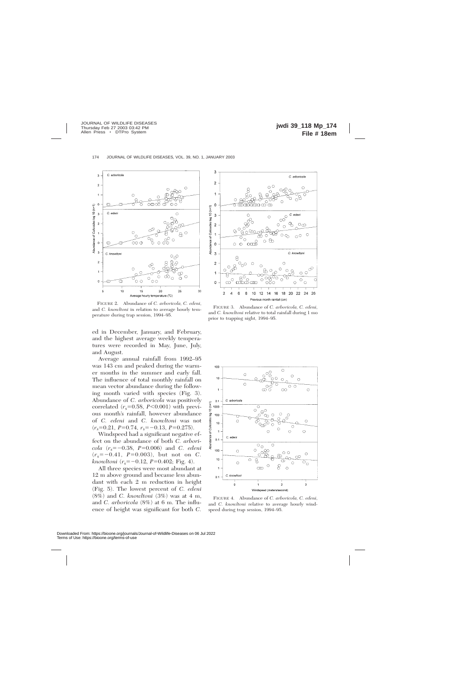

FIGURE 2. Abundance of *C. arboricola, C. edeni*, and *C. knowltoni* in relation to average hourly temperature during trap session, 1994–95.

ed in December, January, and February, and the highest average weekly temperatures were recorded in May, June, July, and August.

Average annual rainfall from 1992–95 was 143 cm and peaked during the warmer months in the summer and early fall. The influence of total monthly rainfall on mean vector abundance during the following month varied with species (Fig. 3). Abundance of *C. arboricola* was positively correlated  $(r_s=0.58, P<0.001)$  with previous month's rainfall, however abundance of *C. edeni* and *C. knowltoni* was not  $(r_s=0.21, P=0.74, r_s=-0.13, P=0.275).$ 

Windspeed had a significant negative effect on the abundance of both *C. arbori* $cola (r_s=-0.38, P=0.006)$  and *C. edeni*  $(r_s=-0.41, P=0.003)$ , but not on *C*. *knowltoni*  $(r_s = -0.12, P = 0.402; Fig. 4)$ .

All three species were most abundant at 12 m above ground and became less abundant with each 2 m reduction in height (Fig. 5). The lowest percent of *C. edeni* (8%) and *C. knowltoni* (3%) was at 4 m, and *C. arboricola* (8%) at 6 m. The influence of height was significant for both *C.*



FIGURE 3. Abundance of *C. arboricola, C. edeni*, and *C. knowltoni* relative to total rainfall during 1 mo prior to trapping night, 1994–95.



FIGURE 4. Abundance of *C. arboricola, C. edeni*, and *C. knowltoni* relative to average hourly windspeed during trap session, 1994–95.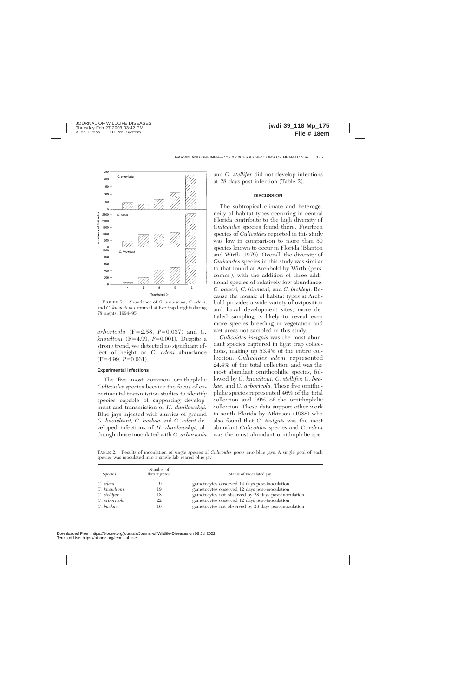

FIGURE 5. Abundance of *C. arboricola, C. edeni*, and *C. knowltoni* captured at five trap heights during 78 nights, 1994–95.

*arboricola* (F=2.58, *P*=0.037) and *C*.  $$ strong trend, we detected no significant effect of height on *C. edeni* abundance  $(F=4.99, P=0.061)$ .

### **Experimental infections**

The five most common ornithophilic *Culicoides* species became the focus of experimental transmission studies to identify species capable of supporting development and transmission of *H. danilewskyi.* Blue jays injected with slurries of ground *C. knowltoni, C. beckae* and *C. edeni* developed infections of *H. danilewskyi,* although those inoculated with *C. arboricola* and *C. stellifer* did not develop infections at 28 days post-infection (Table 2).

#### **DISCUSSION**

The subtropical climate and heterogeneity of habitat types occurring in central Florida contribute to the high diversity of *Culicoides* species found there. Fourteen species of *Culicoides* reported in this study was low in comparison to more than 50 species known to occur in Florida (Blanton and Wirth, 1979). Overall, the diversity of *Culicoides* species in this study was similar to that found at Archbold by Wirth (pers. comm.), with the addition of three additional species of relatively low abundance: *C. baueri, C. hinmani,* and *C. bickleyi.* Because the mosaic of habitat types at Archbold provides a wide variety of oviposition and larval development sites, more detailed sampling is likely to reveal even more species breeding in vegetation and wet areas not sampled in this study.

*Culicoides insignis* was the most abundant species captured in light trap collections, making up 53.4% of the entire collection. *Culicoides edeni* represented 24.4% of the total collection and was the most abundant ornithophilic species, followed by *C. knowltoni, C. stellifer, C. beckae,* and *C. arboricola.* These five ornithophilic species represented 46% of the total collection and 99% of the ornithophilic collection. These data support other work in south Florida by Atkinson (1988) who also found that *C. insignis* was the most abundant *Culicoides* species and *C. edeni* was the most abundant ornithophilic spe-

TABLE 2. Results of inoculation of single species of *Culicoides* pools into blue jays. A single pool of each species was inoculated into a single lab reared blue jay.

| <b>Species</b> | Number of<br>flies injected | Status of inoculated jay                             |
|----------------|-----------------------------|------------------------------------------------------|
| C. edeni       |                             | gametocytes observed 14 days post-inoculation        |
| C. knowltoni   | 19                          | gametocytes observed 12 days post-inoculation        |
| C. stellifer   | 18                          | gametocytes not observed by 28 days post-inoculation |
| C. arboricola  | 22                          | gametocytes observed 12 days post-inoculation        |
| C. backae      | 16                          | gametocytes not observed by 28 days post-inoculation |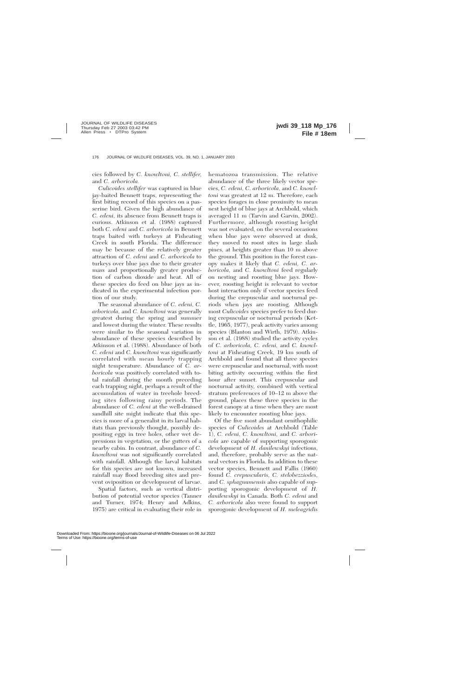cies followed by *C. knowltoni, C. stellifer,* and *C. arboricola.*

*Culicoides stellifer* was captured in blue jay-baited Bennett traps, representing the first biting record of this species on a passerine bird. Given the high abundance of *C. edeni,* its absence from Bennett traps is curious. Atkinson et al. (1988) captured both *C. edeni* and *C. arboricola* in Bennett traps baited with turkeys at Fisheating Creek in south Florida. The difference may be because of the relatively greater attraction of *C. edeni* and *C. arboricola* to turkeys over blue jays due to their greater mass and proportionally greater production of carbon dioxide and heat. All of these species do feed on blue jays as indicated in the experimental infection portion of our study.

The seasonal abundance of *C. edeni, C. arboricola,* and *C. knowltoni* was generally greatest during the spring and summer and lowest during the winter. These results were similar to the seasonal variation in abundance of these species described by Atkinson et al. (1988). Abundance of both *C. edeni* and *C. knowltoni* was significantly correlated with mean hourly trapping night temperature. Abundance of *C. arboricola* was positively correlated with total rainfall during the month preceding each trapping night, perhaps a result of the accumulation of water in treehole breeding sites following rainy periods. The abundance of *C. edeni* at the well-drained sandhill site might indicate that this species is more of a generalist in its larval habitats than previously thought, possibly depositing eggs in tree holes, other wet depressions in vegetation, or the gutters of a nearby cabin. In contrast, abundance of *C. knowltoni* was not significantly correlated with rainfall. Although the larval habitats for this species are not known, increased rainfall may flood breeding sites and prevent oviposition or development of larvae.

Spatial factors, such as vertical distribution of potential vector species (Tanner and Turner, 1974; Henry and Adkins, 1975) are critical in evaluating their role in

hematozoa transmission. The relative abundance of the three likely vector species, *C. edeni, C. arboricola,* and *C. knowltoni* was greatest at 12 m. Therefore, each species forages in close proximity to mean nest height of blue jays at Archbold, which averaged 11 m (Tarvin and Garvin, 2002). Furthermore, although roosting height was not evaluated, on the several occasions when blue jays were observed at dusk, they moved to roost sites in large slash pines, at heights greater than 10 m above the ground. This position in the forest canopy makes it likely that *C. edeni, C. arboricola,* and *C. knowltoni* feed regularly on nesting and roosting blue jays. However, roosting height is relevant to vector host interaction only if vector species feed during the crepuscular and nocturnal periods when jays are roosting. Although most *Culicoides* species prefer to feed during crepuscular or nocturnal periods (Kettle, 1965, 1977), peak activity varies among species (Blanton and Wirth, 1979). Atkinson et al. (1988) studied the activity cycles of *C. arboricola, C. edeni,* and *C. knowltoni* at Fisheating Creek, 19 km south of Archbold and found that all three species were crepuscular and nocturnal, with most biting activity occurring within the first hour after sunset. This crepuscular and nocturnal activity, combined with vertical stratum preferences of 10–12 m above the ground, places these three species in the forest canopy at a time when they are most likely to encounter roosting blue jays.

Of the five most abundant ornithophilic species of *Culicoides* at Archbold (Table 1), *C. edeni, C. knowltoni,* and *C. arboricola* are capable of supporting sporogonic development of *H. danilewskyi* infections, and, therefore, probably serve as the natural vectors in Florida. In addition to these vector species, Bennett and Fallis (1960) found *C. crepuscularis, C. stelobezziodes,* and *C. sphagnumensis* also capable of supporting sporogonic development of *H. danilewskyi* in Canada. Both *C. edeni* and *C. arboricola* also were found to support sporogonic development of *H. meleagridis*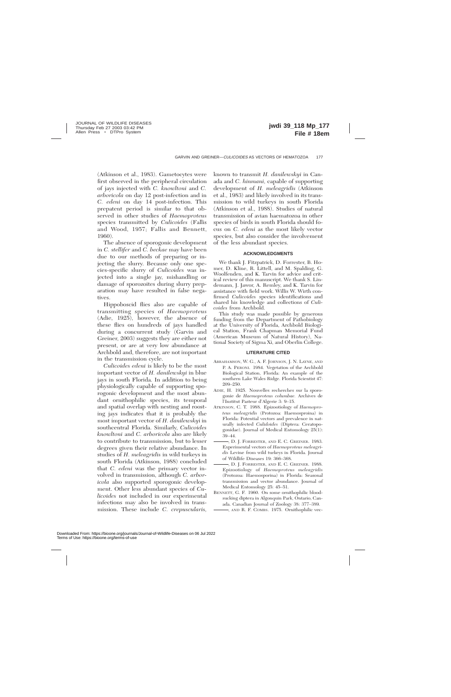(Atkinson et al., 1983). Gametocytes were first observed in the peripheral circulation of jays injected with *C. knowltoni* and *C. arboricola* on day 12 post-infection and in *C. edeni* on day 14 post-infection. This prepatent period is similar to that observed in other studies of *Haemoproteus* species transmitted by *Culicoides* (Fallis and Wood, 1957; Fallis and Bennett, 1960).

The absence of sporogonic development in *C. stellifer* and *C. beckae* may have been due to our methods of preparing or injecting the slurry. Because only one species-specific slurry of *Culicoides* was injected into a single jay, mishandling or damage of sporozoites during slurry preparation may have resulted in false negatives.

Hippoboscid flies also are capable of transmitting species of *Haemoproteus* (Adie, 1925), however, the absence of these flies on hundreds of jays handled during a concurrent study (Garvin and Greiner, 2003) suggests they are either not present, or are at very low abundance at Archbold and, therefore, are not important in the transmission cycle.

*Culicoides edeni* is likely to be the most important vector of *H. danilewskyi* in blue jays in south Florida. In addition to being physiologically capable of supporting sporogonic development and the most abundant ornithophilic species, its temporal and spatial overlap with nesting and roosting jays indicates that it is probably the most important vector of *H. danilewsky*i in southcentral Florida. Similarly, *Culicoides knowltoni* and *C. arboricola* also are likely to contribute to transmission, but to lesser degrees given their relative abundance. In studies of *H. meleagridis* in wild turkeys in south Florida (Atkinson, 1988) concluded that *C. edeni* was the primary vector involved in transmission, although *C. arboricola* also supported sporogonic development. Other less abundant species of *Culicoides* not included in our experimental infections may also be involved in transmission. These include *C. crepuscularis,*

known to transmit *H. danilewskyi* in Canada and *C. hinmani,* capable of supporting development of *H. meleagridis* (Atkinson et al., 1983) and likely involved in its transmission to wild turkeys in south Florida (Atkinson et al., 1988). Studies of natural transmission of avian haematozoa in other species of birds in south Florida should focus on *C. edeni* as the most likely vector species, but also consider the involvement of the less abundant species.

### **ACKNOWLEDGMENTS**

We thank J. Fitzpatrick, D. Forrester, B. Homer, D. Kline, R. Littell, and M. Spalding, G. Woolfenden, and K. Tarvin for advice and critical review of this manuscript. We thank S. Lindemann, J. Jawor, A. Remley, and K. Tarvin for assistance with field work. Willis W. Wirth confirmed *Culicoides* species identifications and shared his knowledge and collections of *Culicoides* from Archbold.

This study was made possible by generous funding from the Department of Pathobiology at the University of Florida, Archbold Biological Station, Frank Chapman Memorial Fund (American Museum of Natural History), National Society of Sigma Xi, and Oberlin College.

# **LITERATURE CITED**

- ABRAHAMSON, W. G., A. F. JOHNSON, J. N. LAYNE, AND P. A. PERONI. 1984. Vegetation of the Archbold Biological Station, Florida: An example of the southern Lake Wales Ridge. Florida Scientist 47: 209–250.
- ADIE, H. 1925. Nouvelles recherches sur la sporogonie de *Haemoproteus columbae.* Archives de l'Institut Pasteur d'Algerie 3: 9–15.
- ATKINSON, C. T. 1988. Epizootiology of *Haemoproteus meleagridis* (Protozoa: Haemosproina) in Florida: Potential vectors and prevalence in naturally infected *Culidoides* (Diptera: Ceratopogonidae). Journal of Medical Entomology 25(1): 39–44.
- , D. J. FORRESTER, AND E. C. GREINER. 1983. Experimental vectors of *Haemoproteus meleagridis* Levine from wild turkeys in Florida. Journal of Wildlife Diseases 19: 366–368.
- , D. J. FORRESTER, AND E. C. GREINER. 1988. Epizootiology of *Haemoproteus meleagridis* (Protozoa: Haemosporina) in Florida: Seasonal transmission and vector abundance. Journal of Medical Entomology 25: 45–51.
- BENNETT, G. F. 1960. On some ornithophilic bloodsucking diptera in Algonquin Park, Ontario, Canada. Canadian Journal of Zoology 38: 377–389.
- , AND R. F. COMBS. 1975. Ornithophilic vec-